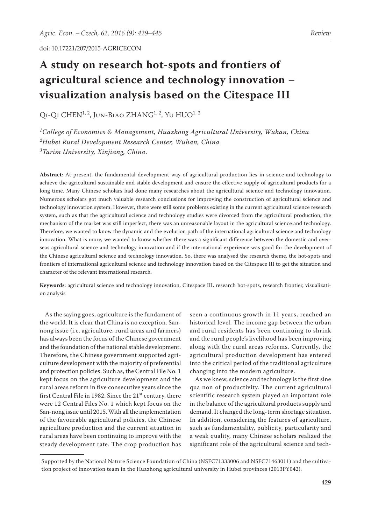# **A study on research hot-spots and frontiers of agricultural science and technology innovation – visualization analysis based on the Citespace III**

QI-QI CHEN<sup>1, 2</sup>, JUN-BIAO ZHANG<sup>1, 2</sup>, YU HUO<sup>1, 3</sup>

*1 College of Economics & Management, Huazhong Agricultural University, Wuhan, China 2 Hubei Rural Development Research Center, Wuhan, China 3 Tarim University, Xinjiang, China.*

**Abstract**: At present, the fundamental development way of agricultural production lies in science and technology to achieve the agricultural sustainable and stable development and ensure the effective supply of agricultural products for a long time. Many Chinese scholars had done many researches about the agricultural science and technology innovation. Numerous scholars got much valuable research conclusions for improving the construction of agricultural science and technology innovation system. However, there were still some problems existing in the current agricultural science research system, such as that the agricultural science and technology studies were divorced from the agricultural production, the mechanism of the market was still imperfect, there was an unreasonable layout in the agricultural science and technology. Therefore, we wanted to know the dynamic and the evolution path of the international agricultural science and technology innovation. What is more, we wanted to know whether there was a significant difference between the domestic and overseas agricultural science and technology innovation and if the international experience was good for the development of the Chinese agricultural science and technology innovation. So, there was analysed the research theme, the hot-spots and frontiers of international agricultural science and technology innovation based on the Citespace III to get the situation and character of the relevant international research.

**Keywords**: agricultural science and technology innovation, Citespace III, research hot-spots, research frontier, visualization analysis

As the saying goes, agriculture is the fundament of the world. It is clear that China is no exception. Sannong issue (i.e. agriculture, rural areas and farmers) has always been the focus of the Chinese government and the foundation of the national stable development. Therefore, the Chinese government supported agriculture development with the majority of preferential and protection policies. Such as, the Central File No. 1 kept focus on the agriculture development and the rural areas reform in five consecutive years since the first Central File in 1982. Since the 21<sup>st</sup> century, there were 12 Central Files No. 1 which kept focus on the San-nong issue until 2015. With all the implementation of the favourable agricultural policies, the Chinese agriculture production and the current situation in rural areas have been continuing to improve with the steady development rate. The crop production has

seen a continuous growth in 11 years, reached an historical level. The income gap between the urban and rural residents has been continuing to shrink and the rural people's livelihood has been improving along with the rural areas reforms. Currently, the agricultural production development has entered into the critical period of the traditional agriculture changing into the modern agriculture.

As we knew, science and technology is the first sine qua non of productivity. The current agricultural scientific research system played an important role in the balance of the agricultural products supply and demand. It changed the long-term shortage situation. In addition, considering the features of agriculture, such as fundamentality, publicity, particularity and a weak quality, many Chinese scholars realized the significant role of the agricultural science and tech-

Supported by the National Nature Science Foundation of China (NSFC71333006 and NSFC71463011) and the cultivation project of innovation team in the Huazhong agricultural university in Hubei provinces (2013PY042).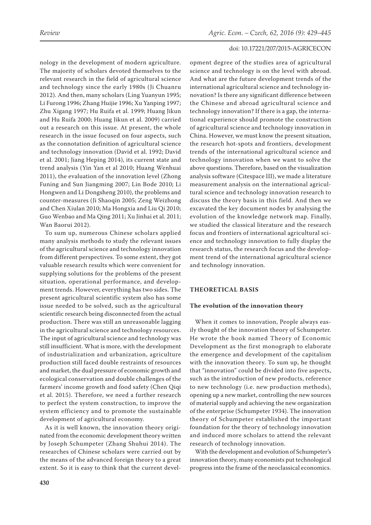nology in the development of modern agriculture. The majority of scholars devoted themselves to the relevant research in the field of agricultural science and technology since the early 1980s (Ji Chuanru 2012). And then, many scholars (Ling Yuanyun 1995; Li Furong 1996; Zhang Huijie 1996; Xu Yanping 1997; Zhu Xigang 1997; Hu Ruifa et al. 1999; Huang Jikun and Hu Ruifa 2000; Huang Jikun et al. 2009) carried out a research on this issue. At present, the whole research in the issue focused on four aspects, such as the connotation definition of agricultural science and technology innovation (David et al. 1992; David et al. 2001; Jiang Heping 2014), its current state and trend analysis (Yin Yan et al 2010; Huang Wenhuai 2011), the evaluation of the innovation level (Zhong Funing and Sun Jiangming 2007; Lin Bode 2010; Li Hongwen and Li Dongsheng 2010), the problems and counter-measures (Ji Shaoqin 2005; Zeng Weizhong and Chen Xiulan 2010; Ma Hongxia and Liu Qi 2010; Guo Wenbao and Ma Qing 2011; Xu Jinhai et al. 2011; Wan Baorui 2012).

To sum up, numerous Chinese scholars applied many analysis methods to study the relevant issues of the agricultural science and technology innovation from different perspectives. To some extent, they got valuable research results which were convenient for supplying solutions for the problems of the present situation, operational performance, and development trends. However, everything has two sides. The present agricultural scientific system also has some issue needed to be solved, such as the agricultural scientific research being disconnected from the actual production. There was still an unreasonable lagging in the agricultural science and technology resources. The input of agricultural science and technology was still insufficient. What is more, with the development of industrialization and urbanization, agriculture production still faced double restraints of resources and market, the dual pressure of economic growth and ecological conservation and double challenges of the farmers' income growth and food safety (Chen Qiqi et al. 2015). Therefore, we need a further research to perfect the system construction, to improve the system efficiency and to promote the sustainable development of agricultural economy.

As it is well known, the innovation theory originated from the economic development theory written by Joseph Schumpeter (Zhang Shuhui 2014). The researches of Chinese scholars were carried out by the means of the advanced foreign theory to a great extent. So it is easy to think that the current devel-

opment degree of the studies area of agricultural science and technology is on the level with abroad. And what are the future development trends of the international agricultural science and technology innovation? Is there any significant difference between the Chinese and abroad agricultural science and technology innovation? If there is a gap, the international experience should promote the construction of agricultural science and technology innovation in China. However, we must know the present situation, the research hot-spots and frontiers, development trends of the international agricultural science and technology innovation when we want to solve the above questions. Therefore, based on the visualization analysis software (Citespace III), we made a literature measurement analysis on the international agricultural science and technology innovation research to discuss the theory basis in this field. And then we excavated the key document nodes by analysing the evolution of the knowledge network map. Finally, we studied the classical literature and the research focus and frontiers of international agricultural science and technology innovation to fully display the research status, the research focus and the development trend of the international agricultural science and technology innovation.

# **THEORETICAL BASIS**

## **The evolution of the innovation theory**

When it comes to innovation, People always easily thought of the innovation theory of Schumpeter. He wrote the book named Theory of Economic Development as the first monograph to elaborate the emergence and development of the capitalism with the innovation theory. To sum up, he thought that "innovation" could be divided into five aspects, such as the introduction of new products, reference to new technology (i.e. new production methods), opening up a new market, controlling the new sources of material supply and achieving the new organization of the enterprise (Schumpeter 1934). The innovation theory of Schumpeter established the important foundation for the theory of technology innovation and induced more scholars to attend the relevant research of technology innovation.

With the development and evolution of Schumpeter's innovation theory, many economists put technological progress into the frame of the neoclassical economics.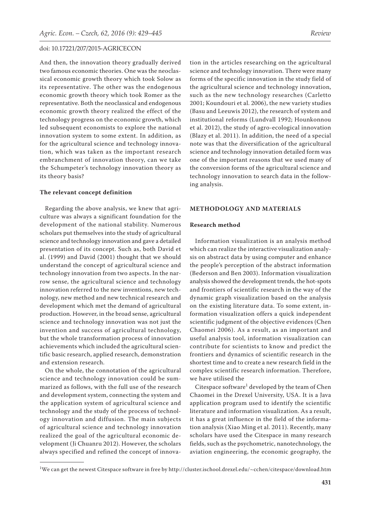And then, the innovation theory gradually derived two famous economic theories. One was the neoclassical economic growth theory which took Solow as its representative. The other was the endogenous economic growth theory which took Romer as the representative. Both the neoclassical and endogenous economic growth theory realized the effect of the technology progress on the economic growth, which led subsequent economists to explore the national innovation system to some extent. In addition, as for the agricultural science and technology innovation, which was taken as the important research embranchment of innovation theory, can we take the Schumpeter's technology innovation theory as its theory basis?

#### **The relevant concept definition**

Regarding the above analysis, we knew that agriculture was always a significant foundation for the development of the national stability. Numerous scholars put themselves into the study of agricultural science and technology innovation and gave a detailed presentation of its concept. Such as, both David et al. (1999) and David (2001) thought that we should understand the concept of agricultural science and technology innovation from two aspects. In the narrow sense, the agricultural science and technology innovation referred to the new inventions, new technology, new method and new technical research and development which met the demand of agricultural production. However, in the broad sense, agricultural science and technology innovation was not just the invention and success of agricultural technology, but the whole transformation process of innovation achievements which included the agricultural scientific basic research, applied research, demonstration and extension research.

On the whole, the connotation of the agricultural science and technology innovation could be summarized as follows, with the full use of the research and development system, connecting the system and the application system of agricultural science and technology and the study of the process of technology innovation and diffusion. The main subjects of agricultural science and technology innovation realized the goal of the agricultural economic development (Ji Chuanru 2012). However, the scholars always specified and refined the concept of innova-

tion in the articles researching on the agricultural science and technology innovation. There were many forms of the specific innovation in the study field of the agricultural science and technology innovation, such as the new technology researches (Carletto 2001; Koundouri et al. 2006), the new variety studies (Basu and Leeuwis 2012), the research of system and institutional reforms (Lundvall 1992; Hounkonnou et al. 2012), the study of agro-ecological innovation (Blazy et al. 2011). In addition, the need of a special note was that the diversification of the agricultural science and technology innovation detailed form was one of the important reasons that we used many of the conversion forms of the agricultural science and technology innovation to search data in the following analysis.

# **METHODOLOGY AND MATERIALS**

#### **Research method**

Information visualization is an analysis method which can realize the interactive visualization analysis on abstract data by using computer and enhance the people's perception of the abstract information (Bederson and Ben 2003). Information visualization analysis showed the development trends, the hot-spots and frontiers of scientific research in the way of the dynamic graph visualization based on the analysis on the existing literature data. To some extent, information visualization offers a quick independent scientific judgment of the objective evidences (Chen Chaomei 2006). As a result, as an important and useful analysis tool, information visualization can contribute for scientists to know and predict the frontiers and dynamics of scientific research in the shortest time and to create a new research field in the complex scientific research information. Therefore, we have utilised the

Citespace software<sup>1</sup> developed by the team of Chen Chaomei in the Drexel University, USA. It is a Java application program used to identify the scientific literature and information visualization. As a result, it has a great influence in the field of the information analysis (Xiao Ming et al. 2011). Recently, many scholars have used the Citespace in many research fields, such as the psychometric, nanotechnology, the aviation engineering, the economic geography, the

<sup>&</sup>lt;sup>1</sup>We can get the newest Citespace software in free by http://cluster.ischool.drexel.edu/~cchen/citespace/download.htm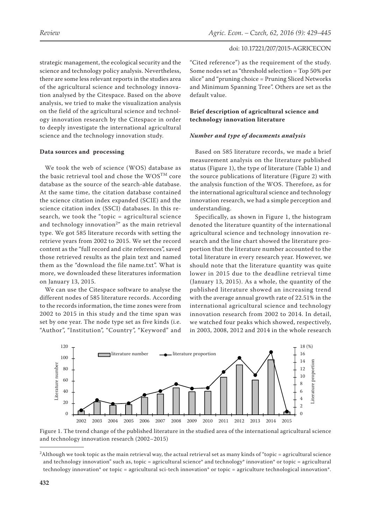strategic management, the ecological security and the science and technology policy analysis. Nevertheless, there are some less relevant reports in the studies area of the agricultural science and technology innovation analysed by the Citespace. Based on the above analysis, we tried to make the visualization analysis on the field of the agricultural science and technology innovation research by the Citespace in order to deeply investigate the international agricultural science and the technology innovation study.

#### **Data sources and processing**

We took the web of science (WOS) database as the basic retrieval tool and chose the  $WOS^{TM}$  core database as the source of the search-able database. At the same time, the citation database contained the science citation index expanded (SCIE) and the science citation index (SSCI) databases. In this research, we took the "topic = agricultural science and technology innovation $2^n$  as the main retrieval type. We got 585 literature records with setting the retrieve years from 2002 to 2015. We set the record content as the "full record and cite references", saved those retrieved results as the plain text and named them as the "download the file name.txt". What is more, we downloaded these literatures information on January 13, 2015.

We can use the Citespace software to analyse the different nodes of 585 literature records. According to the records information, the time zones were from 2002 to 2015 in this study and the time span was set by one year. The node type set as five kinds (i.e. "Author", "Institution", "Country", "Keyword" and

"Cited reference") as the requirement of the study. Some nodes set as "threshold selection = Top 50% per slice" and "pruning choice = Pruning Sliced Networks and Minimum Spanning Tree". Others are set as the default value.

# **Brief description of agricultural science and technology innovation literature**

## *Number and type of documents analysis*

Based on 585 literature records, we made a brief measurement analysis on the literature published status (Figure 1), the type of literature (Table 1) and the source publications of literature (Figure 2) with the analysis function of the WOS. Therefore, as for the international agricultural science and technology innovation research, we had a simple perception and understanding.

Specifically, as shown in Figure 1, the histogram denoted the literature quantity of the international agricultural science and technology innovation research and the line chart showed the literature proportion that the literature number accounted to the total literature in every research year. However, we should note that the literature quantity was quite lower in 2015 due to the deadline retrieval time (January 13, 2015). As a whole, the quantity of the published literature showed an increasing trend with the average annual growth rate of 22.51% in the international agricultural science and technology innovation research from 2002 to 2014. In detail, we watched four peaks which showed, respectively, in 2003, 2008, 2012 and 2014 in the whole research



Figure 1. The trend change of the published literature in the studied area of the international agricultural science and technology innovation research (2002–2015)

 $^2$ Although we took topic as the main retrieval way, the actual retrieval set as many kinds of "topic = agricultural science and technology innovation" such as, topic = agricultural science\* and technology\* innovation\* or topic = agricultural technology innovation\* or topic = agricultural sci-tech innovation\* or topic = agriculture technological innovation\*.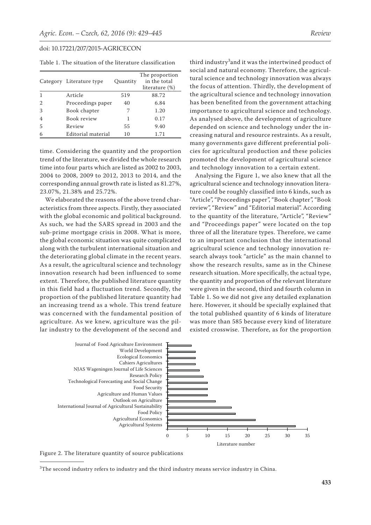| Table 1. The situation of the literature classification |                          |          |                                                  |  |  |  |  |  |
|---------------------------------------------------------|--------------------------|----------|--------------------------------------------------|--|--|--|--|--|
|                                                         | Category Literature type | Quantity | The proportion<br>in the total<br>literature (%) |  |  |  |  |  |
|                                                         | Article                  | 519      | 88.72                                            |  |  |  |  |  |
|                                                         | Proceedings paper        | 40       | 6.84                                             |  |  |  |  |  |

3 Book chapter 7 1.20 4 Book review 1 0.17 5 Review 55 9.40 6 Editorial material 10 1.71

Table 1. The situation of the literature classification

time. Considering the quantity and the proportion trend of the literature, we divided the whole research time into four parts which are listed as 2002 to 2003, 2004 to 2008, 2009 to 2012, 2013 to 2014, and the corresponding annual growth rate is listed as 81.27%, 23.07%, 21.38% and 25.72%.

We elaborated the reasons of the above trend characteristics from three aspects. Firstly, they associated with the global economic and political background. As such, we had the SARS spread in 2003 and the sub-prime mortgage crisis in 2008. What is more, the global economic situation was quite complicated along with the turbulent international situation and the deteriorating global climate in the recent years. As a result, the agricultural science and technology innovation research had been influenced to some extent. Therefore, the published literature quantity in this field had a fluctuation trend. Secondly, the proportion of the published literature quantity had an increasing trend as a whole. This trend feature was concerned with the fundamental position of agriculture. As we knew, agriculture was the pillar industry to the development of the second and

third industry<sup>3</sup> and it was the intertwined product of social and natural economy. Therefore, the agricultural science and technology innovation was always the focus of attention. Thirdly, the development of the agricultural science and technology innovation has been benefited from the government attaching importance to agricultural science and technology. As analysed above, the development of agriculture depended on science and technology under the increasing natural and resource restraints. As a result, many governments gave different preferential policies for agricultural production and these policies promoted the development of agricultural science and technology innovation to a certain extent.

Analysing the Figure 1, we also knew that all the agricultural science and technology innovation literature could be roughly classified into 6 kinds, such as "Article", "Proceedings paper", "Book chapter", "Book review", "Review" and "Editorial material". According to the quantity of the literature, "Article", "Review" and "Proceedings paper" were located on the top three of all the literature types. Therefore, we came to an important conclusion that the international agricultural science and technology innovation research always took "article" as the main channel to show the research results, same as in the Chinese research situation. More specifically, the actual type, the quantity and proportion of the relevant literature were given in the second, third and fourth column in Table 1. So we did not give any detailed explanation here. However, it should be specially explained that the total published quantity of 6 kinds of literature was more than 585 because every kind of literature existed crosswise. Therefore, as for the proportion



Figure 2. The literature quantity of source publications

 ${}^{3}$ The second industry refers to industry and the third industry means service industry in China.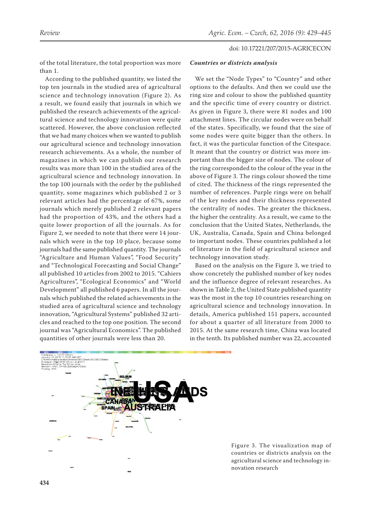of the total literature, the total proportion was more than 1.

According to the published quantity, we listed the top ten journals in the studied area of agricultural science and technology innovation (Figure 2). As a result, we found easily that journals in which we published the research achievements of the agricultural science and technology innovation were quite scattered. However, the above conclusion reflected that we had many choices when we wanted to publish our agricultural science and technology innovation research achievements. As a whole, the number of magazines in which we can publish our research results was more than 100 in the studied area of the agricultural science and technology innovation. In the top 100 journals with the order by the published quantity, some magazines which published 2 or 3 relevant articles had the percentage of 67%, some journals which merely published 2 relevant papers had the proportion of 43%, and the others had a quite lower proportion of all the journals. As for Figure 2, we needed to note that there were 14 journals which were in the top 10 place, because some journals had the same published quantity. The journals "Agriculture and Human Values", "Food Security" and "Technological Forecasting and Social Change" all published 10 articles from 2002 to 2015. "Cahiers Agricultures", "Ecological Economics" and "World Development" all published 6 papers. In all the journals which published the related achievements in the studied area of agricultural science and technology innovation, "Agricultural Systems" published 32 articles and reached to the top one position. The second journal was "Agricultural Economics". The published quantities of other journals were less than 20.

# *Countries or districts analysis*

We set the "Node Types" to "Country" and other options to the defaults. And then we could use the ring size and colour to show the published quantity and the specific time of every country or district. As given in Figure 3, there were 81 nodes and 100 attachment lines. The circular nodes were on behalf of the states. Specifically, we found that the size of some nodes were quite bigger than the others. In fact, it was the particular function of the Citespace. It meant that the country or district was more important than the bigger size of nodes. The colour of the ring corresponded to the colour of the year in the above of Figure 3. The rings colour showed the time of cited. The thickness of the rings represented the number of references. Purple rings were on behalf of the key nodes and their thickness represented the centrality of nodes. The greater the thickness, the higher the centrality. As a result, we came to the conclusion that the United States, Netherlands, the UK, Australia, Canada, Spain and China belonged to important nodes. These countries published a lot of literature in the field of agricultural science and technology innovation study.

Based on the analysis on the Figure 3, we tried to show concretely the published number of key nodes and the influence degree of relevant researches. As shown in Table 2, the United State published quantity was the most in the top 10 countries researching on agricultural science and technology innovation. In details, America published 151 papers, accounted for about a quarter of all literature from 2000 to 2015. At the same research time, China was located in the tenth. Its published number was 22, accounted



Figure 3. The visualization map of countries or districts analysis on the agricultural science and technology innovation research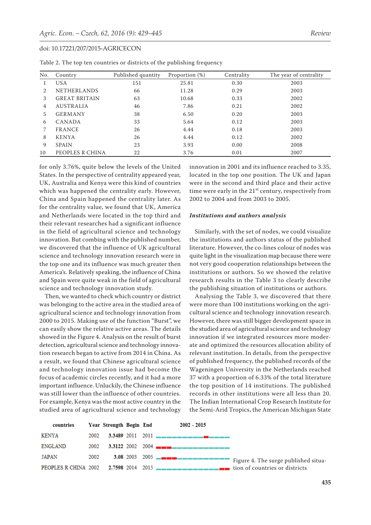| No. | Country              | Published quantity | Proportion $(\%)$ | Centrality | The year of centrality |
|-----|----------------------|--------------------|-------------------|------------|------------------------|
|     | <b>USA</b>           | 151                | 25.81             | 0.30       | 2003                   |
| 2   | <b>NETHERLANDS</b>   | 66                 | 11.28             | 0.29       | 2003                   |
| 3   | <b>GREAT BRITAIN</b> | 63                 | 10.68             | 0.33       | 2002                   |
| 4   | <b>AUSTRALIA</b>     | 46                 | 7.86              | 0.21       | 2002                   |
| 5   | <b>GERMANY</b>       | 38                 | 6.50              | 0.20       | 2003                   |
| 6   | <b>CANADA</b>        | 33                 | 5.64              | 0.12       | 2003                   |
|     | <b>FRANCE</b>        | 26                 | 4.44              | 0.18       | 2003                   |
| 8   | <b>KENYA</b>         | 26                 | 4.44              | 0.12       | 2002                   |
| 9   | <b>SPAIN</b>         | 23                 | 3.93              | 0.00       | 2008                   |
| 10  | PEOPLES R CHINA      | 22                 | 3.76              | 0.01       | 2007                   |

Table 2. The top ten countries or districts of the publishing frequency

for only 3.76%, quite below the levels of the United States. In the perspective of centrality appeared year, UK, Australia and Kenya were this kind of countries which was happened the centrality early. However, China and Spain happened the centrality later. As for the centrality value, we found that UK, America and Netherlands were located in the top third and their relevant researches had a significant influence in the field of agricultural science and technology innovation. But combing with the published number, we discovered that the influence of UK agricultural science and technology innovation research were in the top one and its influence was much greater then America's. Relatively speaking, the influence of China and Spain were quite weak in the field of agricultural science and technology innovation study.

Then, we wanted to check which country or district was belonging to the active area in the studied area of agricultural science and technology innovation from 2000 to 2015. Making use of the function "Burst", we can easily show the relative active areas. The details showed in the Figure 4. Analysis on the result of burst detection, agricultural science and technology innovation research began to active from 2014 in China. As a result, we found that Chinese agricultural science and technology innovation issue had become the focus of academic circles recently, and it had a more important influence. Unluckily, the Chinese influence was still lower than the influence of other countries. For example, Kenya was the most active country in the studied area of agricultural science and technology innovation in 2001 and its influence reached to 3.35, located in the top one position. The UK and Japan were in the second and third place and their active time were early in the 21<sup>st</sup> century, respectively from 2002 to 2004 and from 2003 to 2005.

#### *Institutions and authors analysis*

Similarly, with the set of nodes, we could visualize the institutions and authors status of the published literature. However, the co-lines colour of nodes was quite light in the visualization map because there were not very good cooperation relationships between the institutions or authors. So we showed the relative research results in the Table 3 to clearly describe the publishing situation of institutions or authors.

Analysing the Table 3, we discovered that there were more than 100 institutions working on the agricultural science and technology innovation research. However, there was still bigger development space in the studied area of agricultural science and technology innovation if we integrated resources more moderate and optimized the resources allocation ability of relevant institution. In details, from the perspective of published frequency, the published records of the Wageningen University in the Netherlands reached 37 with a proportion of 6.33% of the total literature the top position of 14 institutions. The published records in other institutions were all less than 20. The Indian International Crop Research Institute for the Semi-Arid Tropics, the American Michigan State

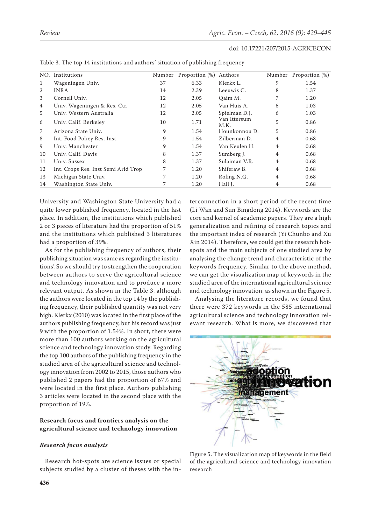|    | NO. Institutions                    |    | Number Proportion (%) | Authors              | Number | Proportion $(\%)$ |
|----|-------------------------------------|----|-----------------------|----------------------|--------|-------------------|
| 1  | Wageningen Univ.                    | 37 | 6.33                  | Klerkx L.            | 9      | 1.54              |
| 2  | <b>INRA</b>                         | 14 | 2.39                  | Leeuwis C.           | 8      | 1.37              |
| 3  | Cornell Univ.                       | 12 | 2.05                  | Oaim M.              |        | 1.20              |
| 4  | Univ. Wageningen & Res. Ctr.        | 12 | 2.05                  | Van Huis A.          | 6      | 1.03              |
| 5  | Univ. Western Australia             | 12 | 2.05                  | Spielman D.J.        | 6      | 1.03              |
| 6  | Univ. Calif. Berkeley               | 10 | 1.71                  | Van Ittersum<br>M.K. | 5      | 0.86              |
| 7  | Arizona State Univ.                 | 9  | 1.54                  | Hounkonnou D.        | 5      | 0.86              |
| 8  | Int. Food Policy Res. Inst.         | 9  | 1.54                  | Zilberman D.         | 4      | 0.68              |
| 9  | Univ. Manchester                    | 9  | 1.54                  | Van Keulen H.        | 4      | 0.68              |
| 10 | Univ. Calif. Davis                  | 8  | 1.37                  | Sumberg J.           | 4      | 0.68              |
| 11 | Univ. Sussex                        | 8  | 1.37                  | Sulaiman V.R.        | 4      | 0.68              |
| 12 | Int. Crops Res. Inst Semi Arid Trop | 7  | 1.20                  | Shiferaw B.          | 4      | 0.68              |
| 13 | Michigan State Univ.                | 7  | 1.20                  | Roling N.G.          | 4      | 0.68              |
| 14 | Washington State Univ.              | 7  | 1.20                  | Hall J.              | 4      | 0.68              |

Table 3. The top 14 institutions and authors' situation of publishing frequency

University and Washington State University had a quite lower published frequency, located in the last place. In addition, the institutions which published 2 or 3 pieces of literature had the proportion of 51% and the institutions which published 3 literatures had a proportion of 39%.

As for the publishing frequency of authors, their publishing situation was same as regarding the institutions'. So we should try to strengthen the cooperation between authors to serve the agricultural science and technology innovation and to produce a more relevant output. As shown in the Table 3, although the authors were located in the top 14 by the publishing frequency, their published quantity was not very high. Klerkx (2010) was located in the first place of the authors publishing frequency, but his record was just 9 with the proportion of 1.54%. In short, there were more than 100 authors working on the agricultural science and technology innovation study. Regarding the top 100 authors of the publishing frequency in the studied area of the agricultural science and technology innovation from 2002 to 2015, those authors who published 2 papers had the proportion of 67% and were located in the first place. Authors publishing 3 articles were located in the second place with the proportion of 19%.

# **Research focus and frontiers analysis on the agricultural science and technology innovation**

# *Research focus analysis*

Research hot-spots are science issues or special subjects studied by a cluster of theses with the in-

terconnection in a short period of the recent time (Li Wan and Sun Bingdong 2014). Keywords are the core and kernel of academic papers. They are a high generalization and refining of research topics and the important index of research (Yi Chunbo and Xu Xin 2014). Therefore, we could get the research hotspots and the main subjects of one studied area by analysing the change trend and characteristic of the keywords frequency. Similar to the above method, we can get the visualization map of keywords in the studied area of the international agricultural science and technology innovation, as shown in the Figure 5.

Analysing the literature records, we found that there were 372 keywords in the 585 international agricultural science and technology innovation relevant research. What is more, we discovered that



Figure 5. The visualization map of keywords in the field of the agricultural science and technology innovation research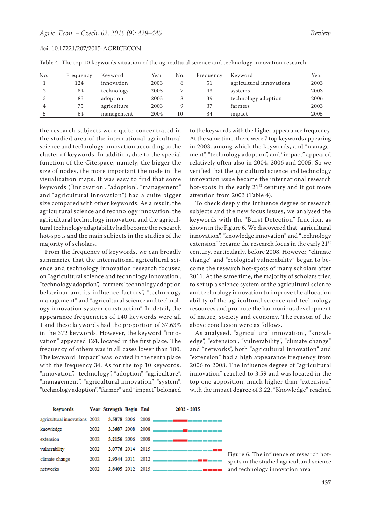| No. | Frequency | Kevword     | Year | No. | Frequency | Kevword                  | Year |
|-----|-----------|-------------|------|-----|-----------|--------------------------|------|
|     | 124       | innovation  | 2003 | 6   | 51        | agricultural innovations | 2003 |
|     | 84        | technology  | 2003 |     | 43        | systems                  | 2003 |
|     | 83        | adoption    | 2003 | 8   | 39        | technology adoption      | 2006 |
| 4   | 75        | agriculture | 2003 | q   | 37        | farmers                  | 2003 |
|     | 64        | management  | 2004 | 10  | 34        | impact                   | 2005 |

Table 4. The top 10 keywords situation of the agricultural science and technology innovation research

the research subjects were quite concentrated in the studied area of the international agricultural science and technology innovation according to the cluster of keywords. In addition, due to the special function of the Citespace, namely, the bigger the size of nodes, the more important the node in the visualization maps. It was easy to find that some keywords ("innovation", "adoption", "management" and "agricultural innovation") had a quite bigger size compared with other keywords. As a result, the agricultural science and technology innovation, the agricultural technology innovation and the agricultural technology adaptability had become the research hot-spots and the main subjects in the studies of the majority of scholars.

From the frequency of keywords, we can broadly summarize that the international agricultural science and technology innovation research focused on "agricultural science and technology innovation", "technology adoption", "farmers' technology adoption behaviour and its influence factors", "technology management" and "agricultural science and technology innovation system construction". In detail, the appearance frequencies of 140 keywords were all 1 and these keywords had the proportion of 37.63% in the 372 keywords. However, the keyword "innovation" appeared 124, located in the first place. The frequency of others was in all cases lower than 100. The keyword "impact" was located in the tenth place with the frequency 34. As for the top 10 keywords, "innovation", "technology", "adoption", "agriculture", "management", "agricultural innovation", "system", "technology adoption", "farmer" and "impact" belonged

to the keywords with the higher appearance frequency. At the same time, there were 7 top keywords appearing in 2003, among which the keywords, and "management", "technology adoption", and "impact" appeared relatively often also in 2004, 2006 and 2005. So we verified that the agricultural science and technology innovation issue became the international research hot-spots in the early  $21<sup>st</sup>$  century and it got more attention from 2003 (Table 4).

To check deeply the influence degree of research subjects and the new focus issues, we analysed the keywords with the "Burst Detection" function, as shown in the Figure 6. We discovered that "agricultural innovation", "knowledge innovation" and "technology extension" became the research focus in the early 21st century, particularly, before 2008. However, "climate change" and "ecological vulnerability" began to become the research hot-spots of many scholars after 2011. At the same time, the majority of scholars tried to set up a science system of the agricultural science and technology innovation to improve the allocation ability of the agricultural science and technology resources and promote the harmonious development of nature, society and economy. The reason of the above conclusion were as follows.

As analysed, "agricultural innovation", "knowledge", "extension", "vulnerability", "climate change" and "networks", both "agricultural innovation" and "extension" had a high appearance frequency from 2006 to 2008. The influence degree of "agricultural innovation" reached to 3.59 and was located in the top one apposition, much higher than "extension" with the impact degree of 3.22. "Knowledge" reached

| keywords Year Strength Begin End |      |  | $2002 - 2015$                                                                |
|----------------------------------|------|--|------------------------------------------------------------------------------|
|                                  |      |  | agricultural innovations $2002$ 3.5878 2006 2008 <b>______________</b> _____ |
| knowledge                        | 2002 |  | $3.3687$ 2008 2008 —————————————————                                         |
| extension                        | 2002 |  |                                                                              |
| vulnerability                    | 2002 |  | $3.0776$ 2014 2015 ————————————————                                          |
| climate change                   | 2002 |  | 2.9344 2011 2012 ————————————————                                            |
| networks                         | 2002 |  | $2.8405$ 2012 2015 —————————————————                                         |

Figure 6. The influence of research hotspots in the studied agricultural science and technology innovation area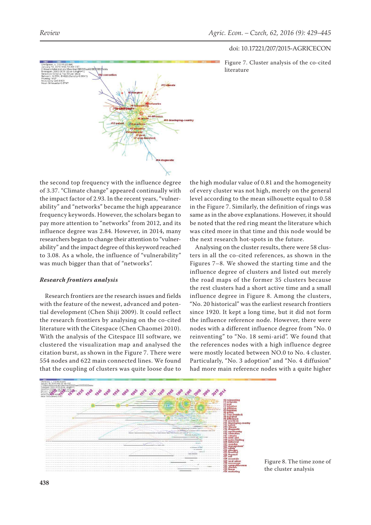



of 3.37. "Climate change" appeared continually with the impact factor of 2.93. In the recent years, "vulnerability" and "networks" became the high appearance frequency keywords. However, the scholars began to pay more attention to "networks" from 2012, and its influence degree was 2.84. However, in 2014, many researchers began to change their attention to "vulnerability" and the impact degree of this keyword reached to 3.08. As a whole, the influence of "vulnerability" was much bigger than that of "networks".

# *Research frontiers analysis*

Research frontiers are the research issues and fields with the feature of the newest, advanced and potential development (Chen Shiji 2009). It could reflect the research frontiers by analysing on the co-cited literature with the Citespace (Chen Chaomei 2010). With the analysis of the Citespace III software, we clustered the visualization map and analysed the citation burst, as shown in the Figure 7. There were 554 nodes and 622 main connected lines. We found that the coupling of clusters was quite loose due to

the high modular value of 0.81 and the homogeneity of every cluster was not high, merely on the general level according to the mean silhouette equal to 0.58 in the Figure 7. Similarly, the definition of rings was same as in the above explanations. However, it should be noted that the red ring meant the literature which was cited more in that time and this node would be the next research hot-spots in the future.

Analysing on the cluster results, there were 58 clusters in all the co-cited references, as shown in the Figures 7–8. We showed the starting time and the influence degree of clusters and listed out merely the road maps of the former 35 clusters because the rest clusters had a short active time and a small influence degree in Figure 8. Among the clusters, "No. 20 historical" was the earliest research frontiers since 1920. It kept a long time, but it did not form the influence reference node. However, there were nodes with a different influence degree from "No. 0 reinventing" to "No. 18 semi-arid". We found that the references nodes with a high influence degree were mostly located between NO.0 to No. 4 cluster. Particularly, "No. 3 adoption" and "No. 4 diffusion" had more main reference nodes with a quite higher



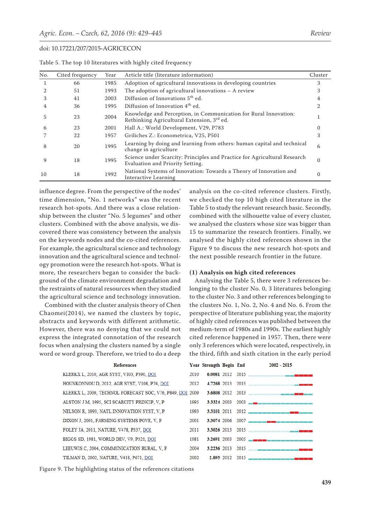| No. | Cited frequency | Year | Article title (literature information)                                                                         | Cluster  |
|-----|-----------------|------|----------------------------------------------------------------------------------------------------------------|----------|
|     | 66              | 1985 | Adoption of agricultural innovations in developing countries                                                   |          |
|     | 51              | 1993 | The adoption of agricultural innovations $-$ A review                                                          |          |
| 3   | 41              | 2003 | Diffusion of Innovations 5 <sup>th</sup> ed.                                                                   |          |
|     | 36              | 1995 | Diffusion of Innovation 4 <sup>th</sup> ed.                                                                    |          |
| 5   | 23              | 2004 | Knowledge and Perception, in Communication for Rural Innovation:<br>Rethinking Agricultural Extension, 3rd ed. |          |
| 6   | 23              | 2001 | Hall A.: World Development, V29, P783                                                                          |          |
|     | 22              | 1957 | Griliches Z.: Econometrica, V25, P501                                                                          | 3        |
| 8   | 20              | 1995 | Learning by doing and learning from others: human capital and technical<br>change in agriculture               | 6        |
| 9   | 18              | 1995 | Science under Scarcity: Principles and Practice for Agricultural Research<br>Evaluation and Priority Setting.  | 0        |
| 10  | 18              | 1992 | National Systems of Innovation: Towards a Theory of Innovation and<br><b>Interactive Learning</b>              | $\Omega$ |

Table 5. The top 10 literatures with highly cited frequency

influence degree. From the perspective of the nodes' time dimension, "No. 1 networks" was the recent research hot-spots. And there was a close relationship between the cluster "No. 5 legumes" and other clusters. Combined with the above analysis, we discovered there was consistency between the analysis on the keywords nodes and the co-cited references. For example, the agricultural science and technology innovation and the agricultural science and technology promotion were the research hot-spots. What is more, the researchers began to consider the background of the climate environment degradation and the restraints of natural resources when they studied the agricultural science and technology innovation.

Combined with the cluster analysis theory of Chen Chaomei(2014), we named the clusters by topic, abstracts and keywords with different arithmetic. However, there was no denying that we could not express the integrated connotation of the research focus when analysing the clusters named by a single word or word group. Therefore, we tried to do a deep analysis on the co-cited reference clusters. Firstly, we checked the top 10 high cited literature in the Table 5 to study the relevant research basic. Secondly, combined with the silhouette value of every cluster, we analysed the clusters whose size was bigger than 15 to summarize the research frontiers. Finally, we analysed the highly cited references shown in the Figure 9 to discuss the new research hot-spots and the next possible research frontier in the future.

#### **(1) Analysis on high cited references**

Analysing the Table 5, there were 3 references belonging to the cluster No. 0, 3 literatures belonging to the cluster No. 3 and other references belonging to the clusters No. 1, No. 2, No. 4 and No. 6. From the perspective of literature publishing year, the majority of highly cited references was published between the medium-term of 1980s and 1990s. The earliest highly cited reference happened in 1957. Then, there were only 3 references which were located, respectively, in the third, fifth and sixth citation in the early period

| <b>References</b>                                         |      | Year Strength Begin End |  | $2002 - 2015$                                                                                                                                                                                                                                                                                                     |
|-----------------------------------------------------------|------|-------------------------|--|-------------------------------------------------------------------------------------------------------------------------------------------------------------------------------------------------------------------------------------------------------------------------------------------------------------------|
| KLERKX L, 2010, AGR SYST, V103, P390, DOI                 | 2010 |                         |  |                                                                                                                                                                                                                                                                                                                   |
| HOUNKONNOU D. 2012, AGR SYST, V108, P74, DOI              | 2012 |                         |  | $4.7268$ 2013 2015                                                                                                                                                                                                                                                                                                |
| KLERKX L, 2009, TECHNOL FORECAST SOC, V76, P849, DOI 2009 |      |                         |  | 3.6808 2012 2013                                                                                                                                                                                                                                                                                                  |
| ALSTON J M, 1995, SCI SCARCITY PRINCIP, V, P              | 1995 |                         |  | $3.3324$ 2003 2003 <b>___</b> ________________                                                                                                                                                                                                                                                                    |
| NELSON R, 1993, NATL INNOVATION SYST, V, P                | 1993 |                         |  | 3.3101 2011 2012 $\blacksquare$                                                                                                                                                                                                                                                                                   |
| DIXON J. 2001. FARMING SYSTEMS POVE, V. P.                | 2001 |                         |  | 3.3074 2006 2007 $\frac{1}{2}$ $\frac{1}{2}$ $\frac{1}{2}$ $\frac{1}{2}$ $\frac{1}{2}$ $\frac{1}{2}$ $\frac{1}{2}$ $\frac{1}{2}$ $\frac{1}{2}$ $\frac{1}{2}$ $\frac{1}{2}$ $\frac{1}{2}$ $\frac{1}{2}$ $\frac{1}{2}$ $\frac{1}{2}$ $\frac{1}{2}$ $\frac{1}{2}$ $\frac{1}{2}$ $\frac{1}{2}$ $\frac{1}{2}$ $\frac{$ |
| FOLEY JA, 2011, NATURE, V478, P337, DOI                   | 2011 |                         |  | 3.3026 2013 2015                                                                                                                                                                                                                                                                                                  |
| BIGGS SD, 1981, WORLD DEV, V9, P321, DOI                  | 1981 |                         |  | $3.2691$ 2003 2005 <b>_____</b> ______________                                                                                                                                                                                                                                                                    |
| LEEUWIS C. 2004. COMMUNICATION RURAL, V. P.               | 2004 |                         |  | $3.2236$ 2013 2015 <b>__________________</b>                                                                                                                                                                                                                                                                      |
| TILMAN D. 2002. NATURE, V418, P671, DOI                   | 2002 |                         |  | $2.895$ 2012 2015 <b>_________________</b>                                                                                                                                                                                                                                                                        |

Figure 9. The highlighting status of the references citations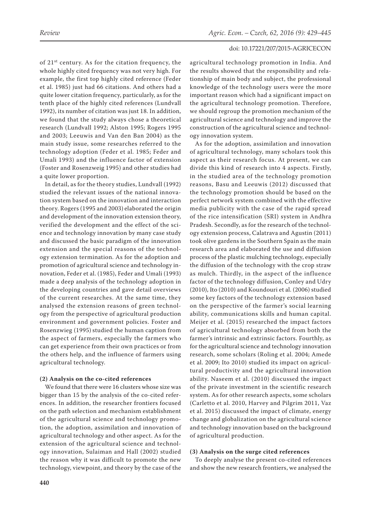of 21st century. As for the citation frequency, the whole highly cited frequency was not very high. For example, the first top highly cited reference (Feder et al. 1985) just had 66 citations. And others had a quite lower citation frequency, particularly, as for the tenth place of the highly cited references (Lundvall 1992), its number of citation was just 18. In addition, we found that the study always chose a theoretical research (Lundvall 1992; Alston 1995; Rogers 1995 and 2003; Leeuwis and Van den Ban 2004) as the main study issue, some researches referred to the technology adoption (Feder et al. 1985; Feder and Umali 1993) and the influence factor of extension (Foster and Rosenzweig 1995) and other studies had a quite lower proportion.

In detail, as for the theory studies, Lundvall (1992) studied the relevant issues of the national innovation system based on the innovation and interaction theory. Rogers (1995 and 2003) elaborated the origin and development of the innovation extension theory, verified the development and the effect of the science and technology innovation by many case study and discussed the basic paradigm of the innovation extension and the special reasons of the technology extension termination. As for the adoption and promotion of agricultural science and technology innovation, Feder et al. (1985), Feder and Umali (1993) made a deep analysis of the technology adoption in the developing countries and gave detail overviews of the current researches. At the same time, they analysed the extension reasons of green technology from the perspective of agricultural production environment and government policies. Foster and Rosenzwieg (1995) studied the human caption from the aspect of farmers, especially the farmers who can get experience from their own practices or from the others help, and the influence of farmers using agricultural technology.

## **(2) Analysis on the co-cited references**

We found that there were 16 clusters whose size was bigger than 15 by the analysis of the co-cited references. In addition, the researcher frontiers focused on the path selection and mechanism establishment of the agricultural science and technology promotion, the adoption, assimilation and innovation of agricultural technology and other aspect. As for the extension of the agricultural science and technology innovation, Sulaiman and Hall (2002) studied the reason why it was difficult to promote the new technology, viewpoint, and theory by the case of the

agricultural technology promotion in India. And the results showed that the responsibility and relationship of main body and subject, the professional knowledge of the technology users were the more important reason which had a significant impact on the agricultural technology promotion. Therefore, we should regroup the promotion mechanism of the agricultural science and technology and improve the construction of the agricultural science and technology innovation system.

As for the adoption, assimilation and innovation of agricultural technology, many scholars took this aspect as their research focus. At present, we can divide this kind of research into 4 aspects. Firstly, in the studied area of the technology promotion reasons, Basu and Leeuwis (2012) discussed that the technology promotion should be based on the perfect network system combined with the effective media publicity with the case of the rapid spread of the rice intensification (SRI) system in Andhra Pradesh. Secondly, as for the research of the technology extension process, Calatrava and Agustin (2011) took olive gardens in the Southern Spain as the main research area and elaborated the use and diffusion process of the plastic mulching technology, especially the diffusion of the technology with the crop straw as mulch. Thirdly, in the aspect of the influence factor of the technology diffusion, Conley and Udry (2010), Ito (2010) and Koundouri et al. (2006) studied some key factors of the technology extension based on the perspective of the farmer's social learning ability, communications skills and human capital. Meijer et al. (2015) researched the impact factors of agricultural technology absorbed from both the farmer's intrinsic and extrinsic factors. Fourthly, as for the agricultural science and technology innovation research, some scholars (Roling et al. 2004; Amede et al. 2009; Ito 2010) studied its impact on agricultural productivity and the agricultural innovation ability. Naseem et al. (2010) discussed the impact of the private investment in the scientific research system. As for other research aspects, some scholars (Carletto et al. 2010, Harvey and Pilgrim 2011, Vaz et al. 2015) discussed the impact of climate, energy change and globalization on the agricultural science and technology innovation based on the background of agricultural production.

#### **(3) Analysis on the surge cited references**

To deeply analyse the present co-cited references and show the new research frontiers, we analysed the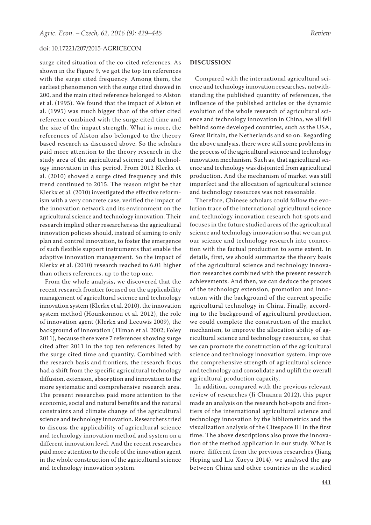surge cited situation of the co-cited references. As shown in the Figure 9, we got the top ten references with the surge cited frequency. Among them, the earliest phenomenon with the surge cited showed in 200, and the main cited reference belonged to Alston et al. (1995). We found that the impact of Alston et al. (1995) was much bigger than of the other cited reference combined with the surge cited time and the size of the impact strength. What is more, the references of Alston also belonged to the theory based research as discussed above. So the scholars paid more attention to the theory research in the study area of the agricultural science and technology innovation in this period. From 2012 Klerkx et al. (2010) showed a surge cited frequency and this trend continued to 2015. The reason might be that Klerkx et al. (2010) investigated the effective reformism with a very concrete case, verified the impact of the innovation network and its environment on the agricultural science and technology innovation. Their research implied other researchers as the agricultural innovation policies should, instead of aiming to only plan and control innovation, to foster the emergence of such flexible support instruments that enable the adaptive innovation management. So the impact of Klerkx et al. (2010) research reached to 6.01 higher than others references, up to the top one.

From the whole analysis, we discovered that the recent research frontier focused on the applicability management of agricultural science and technology innovation system (Klerkx et al. 2010), the innovation system method (Hounkonnou et al. 2012), the role of innovation agent (Klerkx and Leeuwis 2009), the background of innovation (Tilman et al. 2002; Foley 2011), because there were 7 references showing surge cited after 2011 in the top ten references listed by the surge cited time and quantity. Combined with the research basis and frontiers, the research focus had a shift from the specific agricultural technology diffusion, extension, absorption and innovation to the more systematic and comprehensive research area. The present researches paid more attention to the economic, social and natural benefits and the natural constraints and climate change of the agricultural science and technology innovation. Researchers tried to discuss the applicability of agricultural science and technology innovation method and system on a different innovation level. And the recent researches paid more attention to the role of the innovation agent in the whole construction of the agricultural science and technology innovation system.

#### **DISCUSSION**

Compared with the international agricultural science and technology innovation researches, notwithstanding the published quantity of references, the influence of the published articles or the dynamic evolution of the whole research of agricultural science and technology innovation in China, we all fell behind some developed countries, such as the USA, Great Britain, the Netherlands and so on. Regarding the above analysis, there were still some problems in the process of the agricultural science and technology innovation mechanism. Such as, that agricultural science and technology was disjointed from agricultural production. And the mechanism of market was still imperfect and the allocation of agricultural science and technology resources was not reasonable.

Therefore, Chinese scholars could follow the evolution trace of the international agricultural science and technology innovation research hot-spots and focuses in the future studied areas of the agricultural science and technology innovation so that we can put our science and technology research into connection with the factual production to some extent. In details, first, we should summarize the theory basis of the agricultural science and technology innovation researches combined with the present research achievements. And then, we can deduce the process of the technology extension, promotion and innovation with the background of the current specific agricultural technology in China. Finally, according to the background of agricultural production, we could complete the construction of the market mechanism, to improve the allocation ability of agricultural science and technology resources, so that we can promote the construction of the agricultural science and technology innovation system, improve the comprehensive strength of agricultural science and technology and consolidate and uplift the overall agricultural production capacity.

In addition, compared with the previous relevant review of researches (Ji Chuanru 2012), this paper made an analysis on the research hot-spots and frontiers of the international agricultural science and technology innovation by the bibliometrics and the visualization analysis of the Citespace III in the first time. The above descriptions also prove the innovation of the method application in our study. What is more, different from the previous researches (Jiang Heping and Liu Xueyu 2014), we analysed the gap between China and other countries in the studied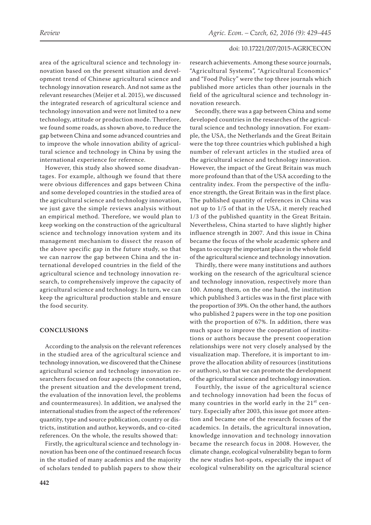area of the agricultural science and technology innovation based on the present situation and development trend of Chinese agricultural science and technology innovation research. And not same as the relevant researches (Meijer et al. 2015), we discussed the integrated research of agricultural science and technology innovation and were not limited to a new technology, attitude or production mode. Therefore, we found some roads, as shown above, to reduce the gap between China and some advanced countries and to improve the whole innovation ability of agricultural science and technology in China by using the international experience for reference.

However, this study also showed some disadvantages. For example, although we found that there were obvious differences and gaps between China and some developed countries in the studied area of the agricultural science and technology innovation, we just gave the simple reviews analysis without an empirical method. Therefore, we would plan to keep working on the construction of the agricultural science and technology innovation system and its management mechanism to dissect the reason of the above specific gap in the future study, so that we can narrow the gap between China and the international developed countries in the field of the agricultural science and technology innovation research, to comprehensively improve the capacity of agricultural science and technology. In turn, we can keep the agricultural production stable and ensure the food security.

#### **CONCLUSIONS**

According to the analysis on the relevant references in the studied area of the agricultural science and technology innovation, we discovered that the Chinese agricultural science and technology innovation researchers focused on four aspects (the connotation, the present situation and the development trend, the evaluation of the innovation level, the problems and countermeasures). In addition, we analysed the international studies from the aspect of the references' quantity, type and source publication, country or districts, institution and author, keywords, and co-cited references. On the whole, the results showed that:

Firstly, the agricultural science and technology innovation has been one of the continued research focus in the studied of many academics and the majority of scholars tended to publish papers to show their

research achievements. Among these source journals, "Agricultural Systems", "Agricultural Economics" and "Food Policy" were the top three journals which published more articles than other journals in the field of the agricultural science and technology innovation research.

Secondly, there was a gap between China and some developed countries in the researches of the agricultural science and technology innovation. For example, the USA, the Netherlands and the Great Britain were the top three countries which published a high number of relevant articles in the studied area of the agricultural science and technology innovation. However, the impact of the Great Britain was much more profound than that of the USA according to the centrality index. From the perspective of the influence strength, the Great Britain was in the first place. The published quantity of references in China was not up to 1/5 of that in the USA, it merely reached 1/3 of the published quantity in the Great Britain. Nevertheless, China started to have slightly higher influence strength in 2007. And this issue in China became the focus of the whole academic sphere and began to occupy the important place in the whole field of the agricultural science and technology innovation.

Thirdly, there were many institutions and authors working on the research of the agricultural science and technology innovation, respectively more than 100. Among them, on the one hand, the institution which published 3 articles was in the first place with the proportion of 39%. On the other hand, the authors who published 2 papers were in the top one position with the proportion of 67%. In addition, there was much space to improve the cooperation of institutions or authors because the present cooperation relationships were not very closely analysed by the visualization map. Therefore, it is important to improve the allocation ability of resources (institutions or authors), so that we can promote the development of the agricultural science and technology innovation.

Fourthly, the issue of the agricultural science and technology innovation had been the focus of many countries in the world early in the  $21<sup>st</sup>$  century. Especially after 2003, this issue got more attention and became one of the research focuses of the academics. In details, the agricultural innovation, knowledge innovation and technology innovation became the research focus in 2008. However, the climate change, ecological vulnerability began to form the new studies hot-spots, especially the impact of ecological vulnerability on the agricultural science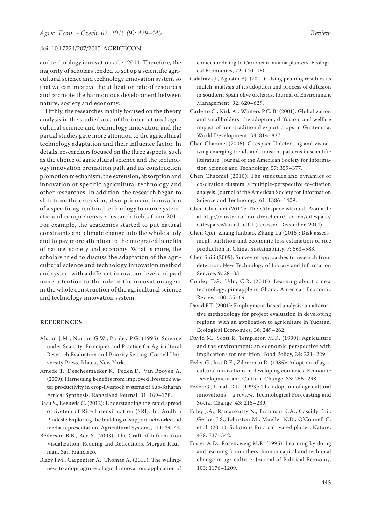and technology innovation after 2011. Therefore, the majority of scholars tended to set up a scientific agricultural science and technology innovation system so that we can improve the utilization rate of resources and promote the harmonious development between nature, society and economy.

Fifthly, the researches mainly focused on the theory analysis in the studied area of the international agricultural science and technology innovation and the partial studies gave more attention to the agricultural technology adaptation and their influence factor. In details, researchers focused on the three aspects, such as the choice of agricultural science and the technology innovation promotion path and its construction promotion mechanism, the extension, absorption and innovation of specific agricultural technology and other researches. In addition, the research began to shift from the extension, absorption and innovation of a specific agricultural technology to more systematic and comprehensive research fields from 2011. For example, the academics started to put natural constraints and climate change into the whole study and to pay more attention to the integrated benefits of nature, society and economy. What is more, the scholars tried to discuss the adaptation of the agricultural science and technology innovation method and system with a different innovation level and paid more attention to the role of the innovation agent in the whole construction of the agricultural science and technology innovation system.

# **REFERENCES**

- Alston J.M., Norton G.W., Pardey P.G. (1995): Science under Scarcity: Principles and Practice for Agricultural Research Evaluation and Priority Setting. Cornell University Press, Ithaca, New York.
- Amede T., Descheemaeker K., Peden D., Van Rooyen A. (2009): Harnessing benefits from improved livestock water productivity in crop-livestock systems of Sub-Saharan Africa: Synthesis. Rangeland Journal, 31: 169–178.
- Basu S., Leeuwis C. (2012): Understanding the rapid spread of System of Rice Intensification (SRI). In: Andhra Pradesh: Exploring the building of support networks and media representation. Agricultural Systems, 111: 34–44.
- Bederson B.B., Ben S. (2003): The Craft of Information Visualization: Reading and Reflections. Morgan Kaufman, San Francisco.
- Blazy J.M., Carpentier A., Thomas A. (2011): The willingness to adopt agro-ecological innovation: application of

choice modeling to Caribbean banana planters. Ecological Economics, 72: 140–150.

- Calatrava J., Agustin F.J. (2011): Using pruning residues as mulch: analysis of its adoption and process of diffusion in southern Spain olive orchards. Journal of Environment Management, 92: 620–629.
- Carletto C., Kirk A., Winters P.C. B. (2001): Globalization and smallholders: the adoption, diffusion, and welfare impact of non-traditional export crops in Guatemala. World Development, 38: 814–827.
- Chen Chaomei (2006): Citespace II detecting and visualizing emerging trends and transient patterns in scientific literature. Journal of the American Society for Information Science and Technology, 57: 359–377.
- Chen Chaomei (2010): The structure and dynamics of co-citation clusters: a multiple-perspective co-citation analysis. Journal of the American Society for Information Science and Technology, 61: 1386–1409.
- Chen Chaomei (2014): The Citespace Manual. Available at http://cluster.ischool.drexel.edu/–cchen/citespace/ CitespaceManual.pdf 1 (accessed December, 2014).
- Chen Qiqi, Zhang Junbiao, Zhang Lu (2015): Risk assessment, partition and economic loss estimation of rice production in China. Sustainability, 7: 563–583.
- Chen Shiji (2009): Survey of approaches to research front detection. New Technology of Library and Information Service, 9: 28–33.
- Conley T.G., Udry C.R. (2010): Learning about a new technology: pineapple in Ghana. American Economic Review, 100: 35–69.
- David F.T. (2001): Employment-based analysis: an alternative methodology for project evaluation in developing regions, with an application to agriculture in Yucatan. Ecological Economics, 36: 249–262.
- David M., Scott R. Templeton M.K. (1999): Agriculture and the environment: an economic perspective with implications for nutrition. Food Policy, 24: 221–229.
- Feder G., Just R.E., Zilberman D. (1985): Adoption of agricultural innovations in developing countries. Economic Development and Cultural Change, 33: 255–298.
- Feder G., Umali D.L. (1993): The adoption of agricultural innovations – a review. Technological Forecasting and Social Change, 43: 215–239.
- Foley J.A., Ramankutty N., Brauman K.A., Cassidy E.S., Gerber J.S., Johnston M., Mueller N.D., O'Connell C. et al. (2011): Solutions for a cultivated planet. Nature, 478: 337–342.
- Foster A.D., Rosenzweig M.R. (1995): Learning by doing and learning from others: human capital and technical change in agriculture. Journal of Political Economy, 103: 1176–1209.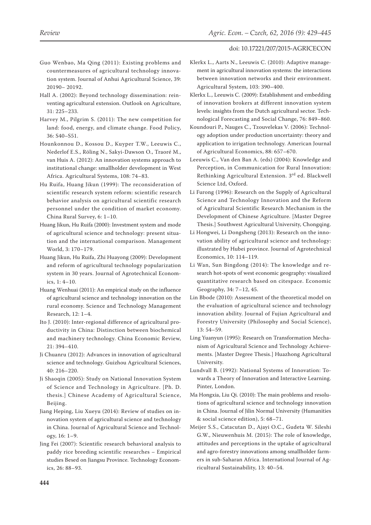- Guo Wenbao, Ma Qing (2011): Existing problems and countermeasures of agricultural technology innovation system. Journal of Anhui Agricultural Science, 39: 20190– 20192.
- Hall A. (2002): Beyond technology dissemination: reinventing agricultural extension. Outlook on Agriculture, 31: 225–233.
- Harvey M., Pilgrim S. (2011): The new competition for land: food, energy, and climate change. Food Policy, 36: S40–S51.
- Hounkonnou D., Kossou D., Kuyper T.W., Leeuwis C., Nederlof E.S., Röling N., Sakyi-Dawson O., Traoré M., van Huis A. (2012): An innovation systems approach to institutional change: smallholder development in West Africa. Agricultural Systems, 108: 74–83.
- Hu Ruifa, Huang Jikun (1999): The reconsideration of scientific research system reform: scientific research behavior analysis on agricultural scientific research personnel under the condition of market economy. China Rural Survey, 6: 1–10.
- Huang Jikun, Hu Ruifa (2000): Investment system and mode of agricultural science and technology: present situation and the international comparison. Management World, 3: 170–179.
- Huang Jikun, Hu Ruifa, Zhi Huayong (2009): Development and reform of agricultural technology popularization system in 30 years. Journal of Agrotechnical Economics, 1: 4–10.
- Huang Wenhuai (2011): An empirical study on the influence of agricultural science and technology innovation on the rural economy. Science and Technology Management Research, 12: 1–4.
- Ito J. (2010): Inter-regional difference of agricultural productivity in China: Distinction between biochemical and machinery technology. China Economic Review,  $21 \cdot 394 - 410$
- Ji Chuanru (2012): Advances in innovation of agricultural science and technology. Guizhou Agricultural Sciences, 40: 216–220.
- Ji Shaoqin (2005): Study on National Innovation System of Science and Technology in Agriculture. [Ph. D. thesis.] Chinese Academy of Agricultural Science, Beijing.
- Jiang Heping, Liu Xueyu (2014): Review of studies on innovation system of agricultural science and technology in China. Journal of Agricultural Science and Technology, 16: 1–9.
- Jing Fei (2007): Scientific research behavioral analysis to paddy rice breeding scientific researches – Empirical studies Besed on Jiangsu Province. Technology Economics, 26: 88–93.
- Klerkx L., Aarts N., Leeuwis C. (2010): Adaptive management in agricultural innovation systems: the interactions between innovation networks and their environment. Agricultural System, 103: 390–400.
- Klerkx L., Leeuwis C. (2009): Establishment and embedding of innovation brokers at different innovation system levels: insights from the Dutch agricultural sector. Technological Forecasting and Social Change, 76: 849–860.
- Koundouri P., Nauges C., Tzouvelekas V. (2006): Technology adoption under production uncertainty: theory and application to irrigation technology. American Journal of Agricultural Economics, 88: 657–670.
- Leeuwis C., Van den Ban A. (eds) (2004): Knowledge and Perception, in Communication for Rural Innovation: Rethinking Agricultural Extension. 3rd ed. Blackwell Science Ltd, Oxford.
- Li Furong (1996): Research on the Supply of Agricultural Science and Technology Innovation and the Reform of Agricultural Scientific Research Mechanism in the Development of Chinese Agriculture. [Master Degree Thesis.] Southwest Agricultural University, Chongqing.
- Li Hongwei, Li Dongsheng (2013): Research on the innovation ability of agricultural science and technology: illustrated by Hubei province. Journal of Agrotechnical Economics, 10: 114–119.
- Li Wan, Sun Bingdong (2014): The knowledge and research hot-spots of west economic geography: visualized quantitative research based on citespace. Economic Geography, 34: 7–12, 45.
- Lin Bbode (2010): Assessment of the theoretical model on the evaluation of agricultural science and technology innovation ability. Journal of Fujian Agricultural and Forestry University (Philosophy and Social Science), 13: 54–59.
- Ling Yuanyun (1995): Research on Transformation Mechanism of Agricultural Science and Technology Achievements. [Master Degree Thesis.] Huazhong Agricultural University.
- Lundvall B. (1992): National Systems of Innovation: Towards a Theory of Innovation and Interactive Learning. Pinter, London.
- Ma Hongxia, Liu Qi. (2010): The main problems and resolutions of agricultural science and technology innovation in China. Journal of Jilin Normal University (Humanities & social science edition), 5: 68–71.
- Meijer S.S., Catacutan D., Ajayi O.C., Gudeta W. Sileshi G.W., Nieuwenhuis M. (2015): The role of knowledge, attitudes and perceptions in the uptake of agricultural and agro-forestry innovations among smallholder farmers in sub-Saharan Africa. International Journal of Agricultural Sustainability, 13: 40–54.